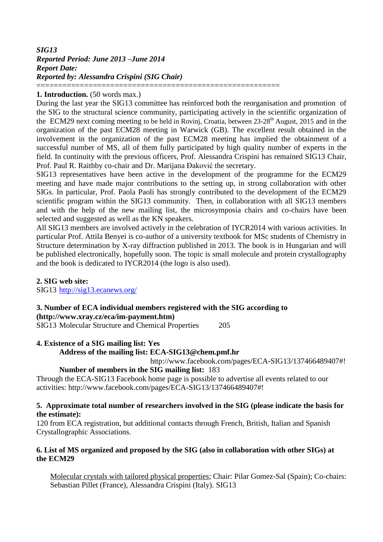# *SIG13 Reported Period: June 2013 –June 2014 Report Date: Reported by: Alessandra Crispini (SIG Chair)* ========================================================

## **1. Introduction.** (50 words max.)

During the last year the SIG13 committee has reinforced both the reorganisation and promotion of the SIG to the structural science community, participating actively in the scientific organization of the ECM29 next coming meeting to be held in Rovinj, Croatia, between  $23{\text -}28^{\text{th}}$  August, 2015 and in the organization of the past ECM28 meeting in Warwick (GB). The excellent result obtained in the involvement in the organization of the past ECM28 meeting has implied the obtainment of a successful number of MS, all of them fully participated by high quality number of experts in the field. In continuity with the previous officers, Prof. Alessandra Crispini has remained SIG13 Chair, Prof. Paul R. Raithby co-chair and Dr. Marijana Đaković the secretary.

SIG13 representatives have been active in the development of the programme for the ECM29 meeting and have made major contributions to the setting up, in strong collaboration with other SIGs. In particular, Prof. Paola Paoli has strongly contributed to the development of the ECM29 scientific program within the SIG13 community. Then, in collaboration with all SIG13 members and with the help of the new mailing list, the microsymposia chairs and co-chairs have been selected and suggested as well as the KN speakers.

All SIG13 members are involved actively in the celebration of IYCR2014 with various activities. In particular Prof. Attila Benyei is co-author of a university textbook for MSc students of Chemistry in Structure determination by X-ray diffraction published in 2013. The book is in Hungarian and will be published electronically, hopefully soon. The topic is small molecule and protein crystallography and the book is dedicated to IYCR2014 (the logo is also used).

# **2. SIG web site:**

SIG13 <http://sig13.ecanews.org/>

# **3. Number of ECA individual members registered with the SIG according to [\(http://www.xray.cz/eca/im-payment.htm\)](http://www.xray.cz/eca/im-payment.htm)**

SIG13 Molecular Structure and Chemical Properties 205

# **4. Existence of a SIG mailing list: Yes**

**Address of the mailing list: ECA-SIG13@chem.pmf.hr**

http://www.facebook.com/pages/ECA-SIG13/137466489407#!

#### **Number of members in the SIG mailing list:** 183

Through the ECA-SIG13 Facebook home page is possible to advertise all events related to our activities: http://www.facebook.com/pages/ECA-SIG13/137466489407#!

## **5. Approximate total number of researchers involved in the SIG (please indicate the basis for the estimate):**

120 from ECA registration, but additional contacts through French, British, Italian and Spanish Crystallographic Associations.

## **6. List of MS organized and proposed by the SIG (also in collaboration with other SIGs) at the ECM29**

Molecular crystals with tailored physical properties; Chair: Pilar Gomez-Sal (Spain); Co-chairs: Sebastian Pillet (France), Alessandra Crispini (Italy). SIG13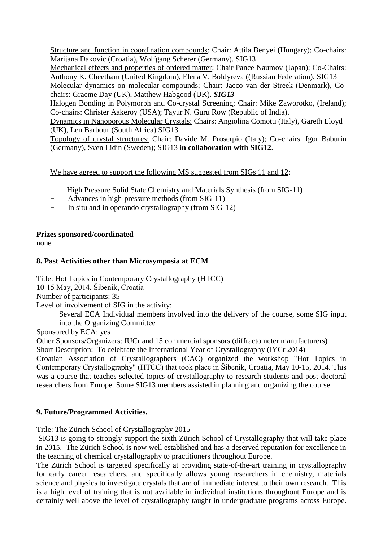Structure and function in coordination compounds; Chair: Attila Benyei (Hungary); Co-chairs: Marijana Dakovic (Croatia), Wolfgang Scherer (Germany). SIG13

Mechanical effects and properties of ordered matter; Chair Pance Naumov (Japan); Co-Chairs: Anthony K. Cheetham (United Kingdom), Elena V. Boldyreva ((Russian Federation). SIG13

Molecular dynamics on molecular compounds; Chair: Jacco van der Streek (Denmark), Cochairs: Graeme Day (UK), Matthew Habgood (UK). *SIG13*

Halogen Bonding in Polymorph and Co-crystal Screening; Chair: Mike Zaworotko, (Ireland); Co-chairs: Christer Aakeroy (USA); Tayur N. Guru Row (Republic of India).

Dynamics in Nanoporous Molecular Crystals; Chairs: Angiolina Comotti (Italy), Gareth Lloyd (UK), Len Barbour (South Africa) SIG13

Topology of crystal structures; Chair: Davide M. Proserpio (Italy); Co-chairs: Igor Baburin (Germany), Sven Lidin (Sweden); SIG13 **in collaboration with SIG12**.

We have agreed to support the following MS suggested from SIGs 11 and 12:

- High Pressure Solid State Chemistry and Materials Synthesis (from SIG-11)
- Advances in high-pressure methods (from SIG-11)
- In situ and in operando crystallography (from SIG-12)

# **Prizes sponsored/coordinated**

none

# **8. Past Activities other than Microsymposia at ECM**

Title: Hot Topics in Contemporary Crystallography (HTCC)

10-15 May, 2014, Šibenik, Croatia

Number of participants: 35

Level of involvement of SIG in the activity:

Several ECA Individual members involved into the delivery of the course, some SIG input into the Organizing Committee

Sponsored by ECA: yes

Other Sponsors/Organizers: IUCr and 15 commercial sponsors (diffractometer manufacturers)

Short Description: To celebrate the International Year of Crystallography (IYCr 2014)

Croatian Association of Crystallographers (CAC) organized the workshop "Hot Topics in Contemporary Crystallography" (HTCC) that took place in Šibenik, Croatia, May 10-15, 2014. This was a course that teaches selected topics of crystallography to research students and post-doctoral researchers from Europe. Some SIG13 members assisted in planning and organizing the course.

# **9. Future/Programmed Activities.**

Title: The Zürich School of Crystallography 2015

SIG13 is going to strongly support the sixth Zürich School of Crystallography that will take place in 2015. The Zürich School is now well established and has a deserved reputation for excellence in the teaching of chemical crystallography to practitioners throughout Europe.

The Zürich School is targeted specifically at providing state-of-the-art training in crystallography for early career researchers, and specifically allows young researchers in chemistry, materials science and physics to investigate crystals that are of immediate interest to their own research. This is a high level of training that is not available in individual institutions throughout Europe and is certainly well above the level of crystallography taught in undergraduate programs across Europe.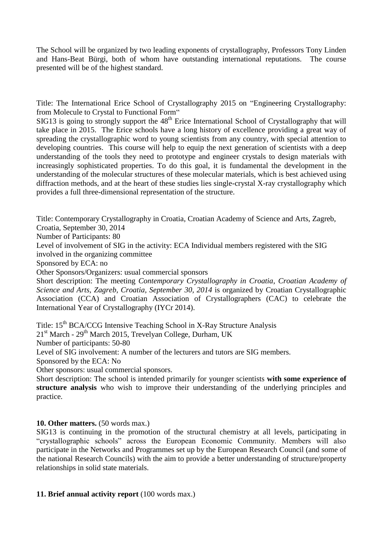The School will be organized by two leading exponents of crystallography, Professors Tony Linden and Hans-Beat Bürgi, both of whom have outstanding international reputations. The course presented will be of the highest standard.

Title: The International Erice School of Crystallography 2015 on "Engineering Crystallography: from Molecule to Crystal to Functional Form"

 $SIG13$  is going to strongly support the  $48<sup>th</sup>$  Erice International School of Crystallography that will take place in 2015. The Erice schools have a long history of excellence providing a great way of spreading the crystallographic word to young scientists from any country, with special attention to developing countries. This course will help to equip the next generation of scientists with a deep understanding of the tools they need to prototype and engineer crystals to design materials with increasingly sophisticated properties. To do this goal, it is fundamental the development in the understanding of the molecular structures of these molecular materials, which is best achieved using diffraction methods, and at the heart of these studies lies single-crystal X-ray crystallography which provides a full three-dimensional representation of the structure.

Title: Contemporary Crystallography in Croatia, Croatian Academy of Science and Arts, Zagreb,

Croatia, September 30, 2014 Number of Participants: 80

Level of involvement of SIG in the activity: ECA Individual members registered with the SIG involved in the organizing committee

Sponsored by ECA: no

Other Sponsors/Organizers: usual commercial sponsors

Short description: The meeting *Contemporary Crystallography in Croatia*, *Croatian Academy of Science and Arts, Zagreb, Croatia, September 30, 2014* is organized by Croatian Crystallographic Association (CCA) and Croatian Association of Crystallographers (CAC) to celebrate the International Year of Crystallography (IYCr 2014).

Title: 15<sup>th</sup> BCA/CCG Intensive Teaching School in X-Ray Structure Analysis

21<sup>st</sup> March - 29<sup>th</sup> March 2015, Trevelyan College, Durham, UK

Number of participants: 50-80

Level of SIG involvement: A number of the lecturers and tutors are SIG members.

Sponsored by the ECA: No

Other sponsors: usual commercial sponsors.

Short description: The school is intended primarily for younger scientists **with some experience of structure analysis** who wish to improve their understanding of the underlying principles and practice.

# **10. Other matters.** (50 words max.)

SIG13 is continuing in the promotion of the structural chemistry at all levels, participating in "crystallographic schools" across the European Economic Community. Members will also participate in the Networks and Programmes set up by the European Research Council (and some of the national Research Councils) with the aim to provide a better understanding of structure/property relationships in solid state materials.

#### **11. Brief annual activity report** (100 words max.)